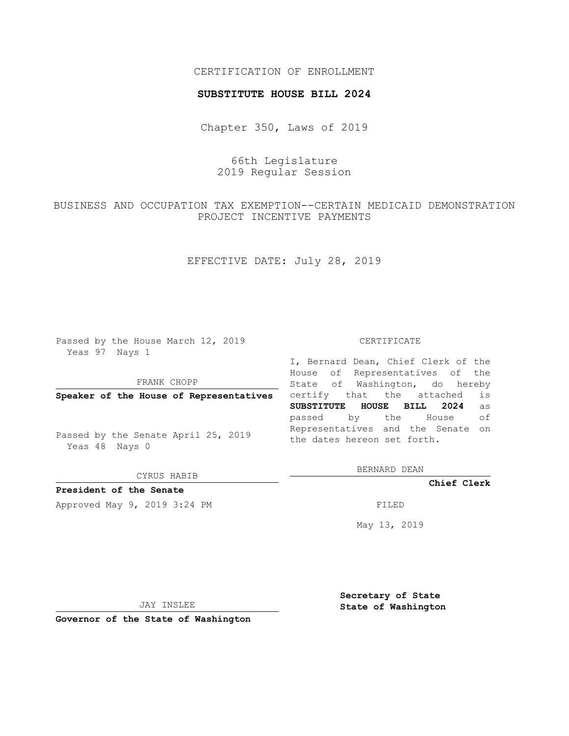### CERTIFICATION OF ENROLLMENT

#### **SUBSTITUTE HOUSE BILL 2024**

Chapter 350, Laws of 2019

# 66th Legislature 2019 Regular Session

# BUSINESS AND OCCUPATION TAX EXEMPTION--CERTAIN MEDICAID DEMONSTRATION PROJECT INCENTIVE PAYMENTS

# EFFECTIVE DATE: July 28, 2019

Passed by the House March 12, 2019 Yeas 97 Nays 1

#### FRANK CHOPP

**Speaker of the House of Representatives**

Passed by the Senate April 25, 2019 Yeas 48 Nays 0

CYRUS HABIB

## **President of the Senate**

Approved May 9, 2019 3:24 PM

#### CERTIFICATE

I, Bernard Dean, Chief Clerk of the House of Representatives of the State of Washington, do hereby certify that the attached is **SUBSTITUTE HOUSE BILL 2024** as passed by the House of Representatives and the Senate on the dates hereon set forth.

BERNARD DEAN

**Chief Clerk**

May 13, 2019

JAY INSLEE

**Governor of the State of Washington**

**Secretary of State State of Washington**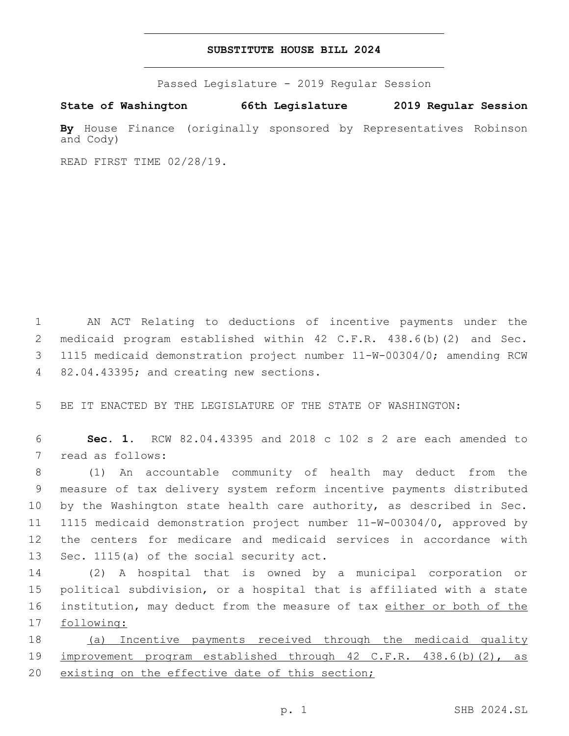### **SUBSTITUTE HOUSE BILL 2024**

Passed Legislature - 2019 Regular Session

**State of Washington 66th Legislature 2019 Regular Session**

**By** House Finance (originally sponsored by Representatives Robinson and Cody)

READ FIRST TIME 02/28/19.

 AN ACT Relating to deductions of incentive payments under the medicaid program established within 42 C.F.R. 438.6(b)(2) and Sec. 1115 medicaid demonstration project number 11-W-00304/0; amending RCW 4 82.04.43395; and creating new sections.

5 BE IT ENACTED BY THE LEGISLATURE OF THE STATE OF WASHINGTON:

6 **Sec. 1.** RCW 82.04.43395 and 2018 c 102 s 2 are each amended to 7 read as follows:

 (1) An accountable community of health may deduct from the measure of tax delivery system reform incentive payments distributed by the Washington state health care authority, as described in Sec. 1115 medicaid demonstration project number 11-W-00304/0, approved by the centers for medicare and medicaid services in accordance with 13 Sec. 1115(a) of the social security act.

 (2) A hospital that is owned by a municipal corporation or political subdivision, or a hospital that is affiliated with a state 16 institution, may deduct from the measure of tax either or both of the following:

18 (a) Incentive payments received through the medicaid quality 19 improvement program established through 42 C.F.R. 438.6(b)(2), as 20 existing on the effective date of this section;